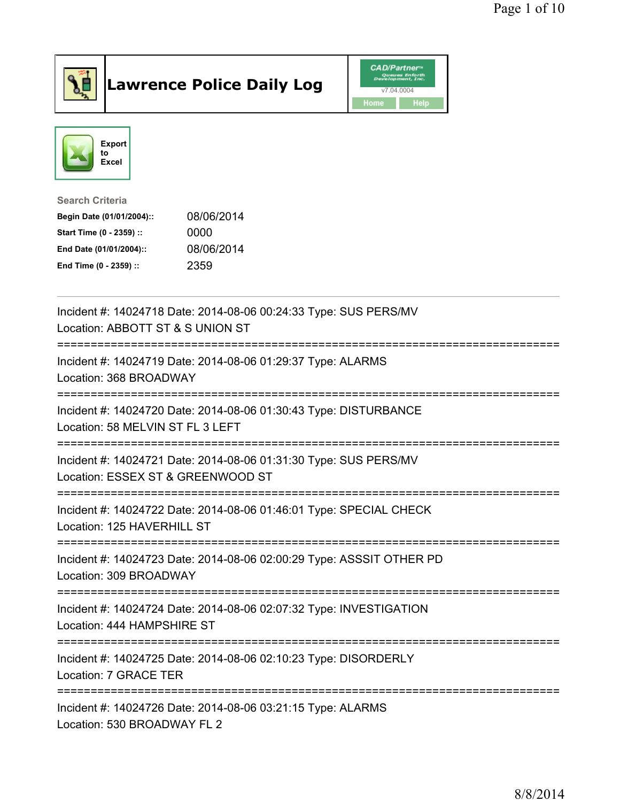

## Lawrence Police Daily Log **CAD/Partner**





Search Criteria Begin Date (01/01/2004):: 08/06/2014 Start Time (0 - 2359) :: 0000 End Date (01/01/2004):: 08/06/2014 End Time (0 - 2359) :: 2359

| Incident #: 14024718 Date: 2014-08-06 00:24:33 Type: SUS PERS/MV<br>Location: ABBOTT ST & S UNION ST  |
|-------------------------------------------------------------------------------------------------------|
| Incident #: 14024719 Date: 2014-08-06 01:29:37 Type: ALARMS<br>Location: 368 BROADWAY                 |
| Incident #: 14024720 Date: 2014-08-06 01:30:43 Type: DISTURBANCE<br>Location: 58 MELVIN ST FL 3 LEFT  |
| Incident #: 14024721 Date: 2014-08-06 01:31:30 Type: SUS PERS/MV<br>Location: ESSEX ST & GREENWOOD ST |
| Incident #: 14024722 Date: 2014-08-06 01:46:01 Type: SPECIAL CHECK<br>Location: 125 HAVERHILL ST      |
| Incident #: 14024723 Date: 2014-08-06 02:00:29 Type: ASSSIT OTHER PD<br>Location: 309 BROADWAY        |
| Incident #: 14024724 Date: 2014-08-06 02:07:32 Type: INVESTIGATION<br>Location: 444 HAMPSHIRE ST      |
| Incident #: 14024725 Date: 2014-08-06 02:10:23 Type: DISORDERLY<br>Location: 7 GRACE TER              |
| Incident #: 14024726 Date: 2014-08-06 03:21:15 Type: ALARMS<br>Location: 530 BROADWAY FL 2            |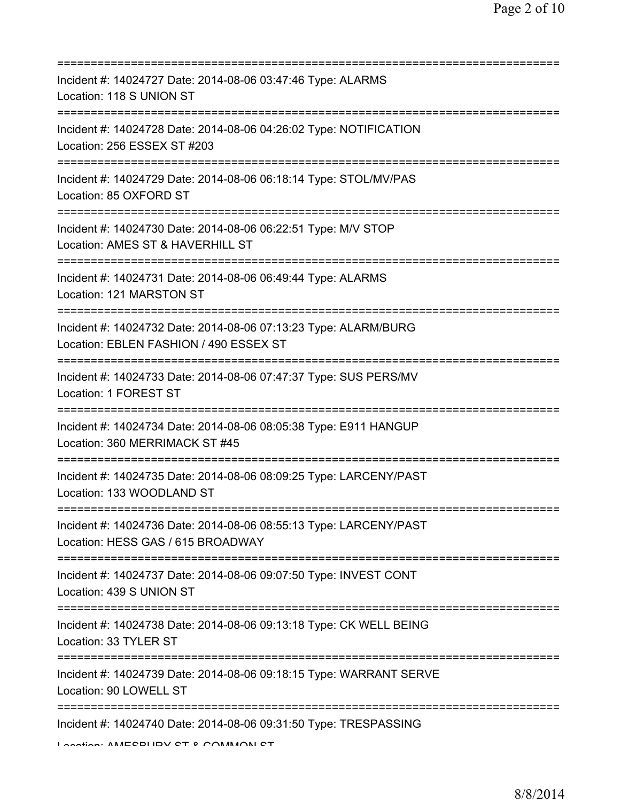| Incident #: 14024727 Date: 2014-08-06 03:47:46 Type: ALARMS<br>Location: 118 S UNION ST                                         |
|---------------------------------------------------------------------------------------------------------------------------------|
| Incident #: 14024728 Date: 2014-08-06 04:26:02 Type: NOTIFICATION<br>Location: 256 ESSEX ST #203                                |
| Incident #: 14024729 Date: 2014-08-06 06:18:14 Type: STOL/MV/PAS<br>Location: 85 OXFORD ST                                      |
| Incident #: 14024730 Date: 2014-08-06 06:22:51 Type: M/V STOP<br>Location: AMES ST & HAVERHILL ST<br>========================== |
| Incident #: 14024731 Date: 2014-08-06 06:49:44 Type: ALARMS<br>Location: 121 MARSTON ST                                         |
| Incident #: 14024732 Date: 2014-08-06 07:13:23 Type: ALARM/BURG<br>Location: EBLEN FASHION / 490 ESSEX ST                       |
| Incident #: 14024733 Date: 2014-08-06 07:47:37 Type: SUS PERS/MV<br>Location: 1 FOREST ST<br>:============================      |
| Incident #: 14024734 Date: 2014-08-06 08:05:38 Type: E911 HANGUP<br>Location: 360 MERRIMACK ST #45                              |
| Incident #: 14024735 Date: 2014-08-06 08:09:25 Type: LARCENY/PAST<br>Location: 133 WOODLAND ST                                  |
| Incident #: 14024736 Date: 2014-08-06 08:55:13 Type: LARCENY/PAST<br>Location: HESS GAS / 615 BROADWAY                          |
| Incident #: 14024737 Date: 2014-08-06 09:07:50 Type: INVEST CONT<br>Location: 439 S UNION ST                                    |
| Incident #: 14024738 Date: 2014-08-06 09:13:18 Type: CK WELL BEING<br>Location: 33 TYLER ST                                     |
| Incident #: 14024739 Date: 2014-08-06 09:18:15 Type: WARRANT SERVE<br>Location: 90 LOWELL ST                                    |
| Incident #: 14024740 Date: 2014-08-06 09:31:50 Type: TRESPASSING<br>Lootion: AMECDLIDV CT 0 COMMANI CT                          |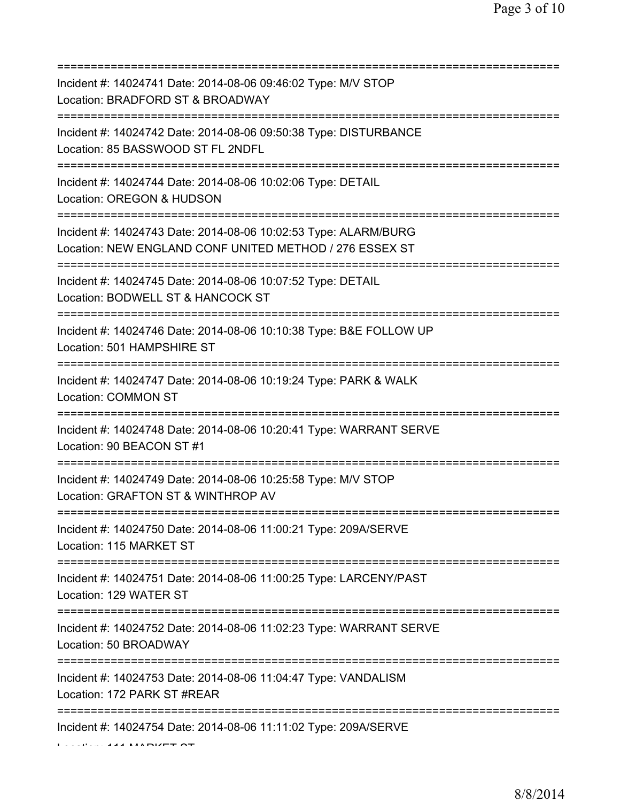| Incident #: 14024741 Date: 2014-08-06 09:46:02 Type: M/V STOP<br>Location: BRADFORD ST & BROADWAY<br>=========================        |
|---------------------------------------------------------------------------------------------------------------------------------------|
| Incident #: 14024742 Date: 2014-08-06 09:50:38 Type: DISTURBANCE<br>Location: 85 BASSWOOD ST FL 2NDFL                                 |
| Incident #: 14024744 Date: 2014-08-06 10:02:06 Type: DETAIL<br>Location: OREGON & HUDSON<br>=====================================     |
| Incident #: 14024743 Date: 2014-08-06 10:02:53 Type: ALARM/BURG<br>Location: NEW ENGLAND CONF UNITED METHOD / 276 ESSEX ST            |
| Incident #: 14024745 Date: 2014-08-06 10:07:52 Type: DETAIL<br>Location: BODWELL ST & HANCOCK ST<br>=======================           |
| Incident #: 14024746 Date: 2014-08-06 10:10:38 Type: B&E FOLLOW UP<br>Location: 501 HAMPSHIRE ST                                      |
| Incident #: 14024747 Date: 2014-08-06 10:19:24 Type: PARK & WALK<br>Location: COMMON ST<br>============================               |
| Incident #: 14024748 Date: 2014-08-06 10:20:41 Type: WARRANT SERVE<br>Location: 90 BEACON ST #1                                       |
| Incident #: 14024749 Date: 2014-08-06 10:25:58 Type: M/V STOP<br>Location: GRAFTON ST & WINTHROP AV                                   |
| Incident #: 14024750 Date: 2014-08-06 11:00:21 Type: 209A/SERVE<br>Location: 115 MARKET ST                                            |
| Incident #: 14024751 Date: 2014-08-06 11:00:25 Type: LARCENY/PAST<br>Location: 129 WATER ST                                           |
| Incident #: 14024752 Date: 2014-08-06 11:02:23 Type: WARRANT SERVE<br>Location: 50 BROADWAY                                           |
| ====================================<br>Incident #: 14024753 Date: 2014-08-06 11:04:47 Type: VANDALISM<br>Location: 172 PARK ST #REAR |
| Incident #: 14024754 Date: 2014-08-06 11:11:02 Type: 209A/SERVE                                                                       |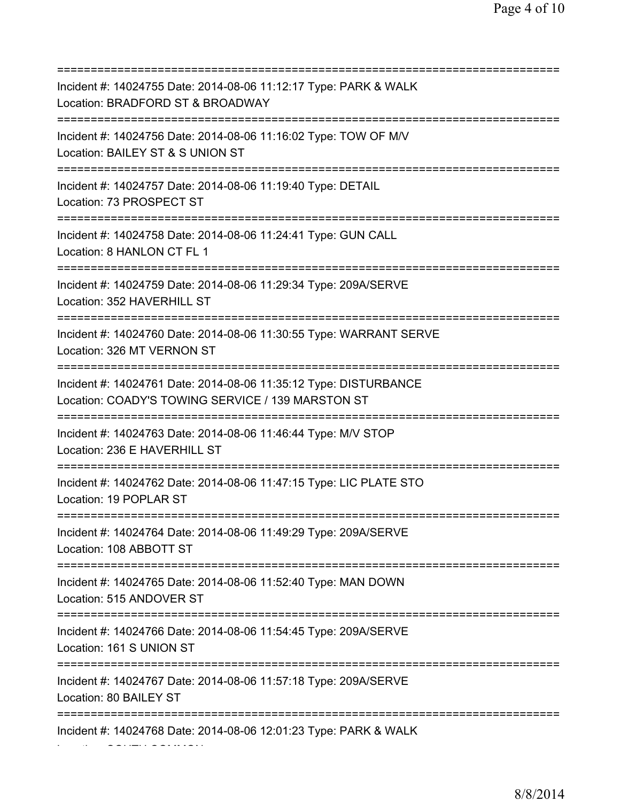=========================================================================== Incident #: 14024755 Date: 2014-08-06 11:12:17 Type: PARK & WALK Location: BRADFORD ST & BROADWAY =========================================================================== Incident #: 14024756 Date: 2014-08-06 11:16:02 Type: TOW OF M/V Location: BAILEY ST & S UNION ST =========================================================================== Incident #: 14024757 Date: 2014-08-06 11:19:40 Type: DETAIL Location: 73 PROSPECT ST =========================================================================== Incident #: 14024758 Date: 2014-08-06 11:24:41 Type: GUN CALL Location: 8 HANLON CT FL 1 =========================================================================== Incident #: 14024759 Date: 2014-08-06 11:29:34 Type: 209A/SERVE Location: 352 HAVERHILL ST =========================================================================== Incident #: 14024760 Date: 2014-08-06 11:30:55 Type: WARRANT SERVE Location: 326 MT VERNON ST =========================================================================== Incident #: 14024761 Date: 2014-08-06 11:35:12 Type: DISTURBANCE Location: COADY'S TOWING SERVICE / 139 MARSTON ST =========================================================================== Incident #: 14024763 Date: 2014-08-06 11:46:44 Type: M/V STOP Location: 236 E HAVERHILL ST =========================================================================== Incident #: 14024762 Date: 2014-08-06 11:47:15 Type: LIC PLATE STO Location: 19 POPLAR ST =========================================================================== Incident #: 14024764 Date: 2014-08-06 11:49:29 Type: 209A/SERVE Location: 108 ABBOTT ST =========================================================================== Incident #: 14024765 Date: 2014-08-06 11:52:40 Type: MAN DOWN Location: 515 ANDOVER ST =========================================================================== Incident #: 14024766 Date: 2014-08-06 11:54:45 Type: 209A/SERVE Location: 161 S UNION ST =========================================================================== Incident #: 14024767 Date: 2014-08-06 11:57:18 Type: 209A/SERVE Location: 80 BAILEY ST =========================================================================== Incident #: 14024768 Date: 2014-08-06 12:01:23 Type: PARK & WALK Location: SOUTH COMMON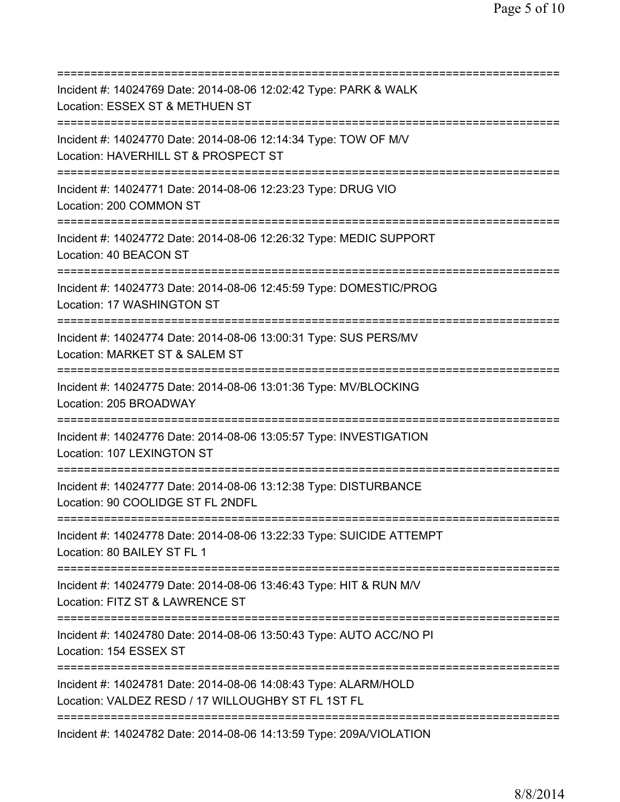| Incident #: 14024769 Date: 2014-08-06 12:02:42 Type: PARK & WALK<br>Location: ESSEX ST & METHUEN ST<br>=======================        |
|---------------------------------------------------------------------------------------------------------------------------------------|
| Incident #: 14024770 Date: 2014-08-06 12:14:34 Type: TOW OF M/V<br>Location: HAVERHILL ST & PROSPECT ST<br>========================== |
| Incident #: 14024771 Date: 2014-08-06 12:23:23 Type: DRUG VIO<br>Location: 200 COMMON ST<br>=====================                     |
| Incident #: 14024772 Date: 2014-08-06 12:26:32 Type: MEDIC SUPPORT<br>Location: 40 BEACON ST<br>====================================  |
| Incident #: 14024773 Date: 2014-08-06 12:45:59 Type: DOMESTIC/PROG<br>Location: 17 WASHINGTON ST<br>================================  |
| Incident #: 14024774 Date: 2014-08-06 13:00:31 Type: SUS PERS/MV<br>Location: MARKET ST & SALEM ST<br>====================            |
| Incident #: 14024775 Date: 2014-08-06 13:01:36 Type: MV/BLOCKING<br>Location: 205 BROADWAY                                            |
| Incident #: 14024776 Date: 2014-08-06 13:05:57 Type: INVESTIGATION<br>Location: 107 LEXINGTON ST<br>:================================ |
| Incident #: 14024777 Date: 2014-08-06 13:12:38 Type: DISTURBANCE<br>Location: 90 COOLIDGE ST FL 2NDFL                                 |
| Incident #: 14024778 Date: 2014-08-06 13:22:33 Type: SUICIDE ATTEMPT<br>Location: 80 BAILEY ST FL 1                                   |
| Incident #: 14024779 Date: 2014-08-06 13:46:43 Type: HIT & RUN M/V<br>Location: FITZ ST & LAWRENCE ST                                 |
| Incident #: 14024780 Date: 2014-08-06 13:50:43 Type: AUTO ACC/NO PI<br>Location: 154 ESSEX ST                                         |
| Incident #: 14024781 Date: 2014-08-06 14:08:43 Type: ALARM/HOLD<br>Location: VALDEZ RESD / 17 WILLOUGHBY ST FL 1ST FL                 |
| Incident #: 14024782 Date: 2014-08-06 14:13:59 Type: 209A/VIOLATION                                                                   |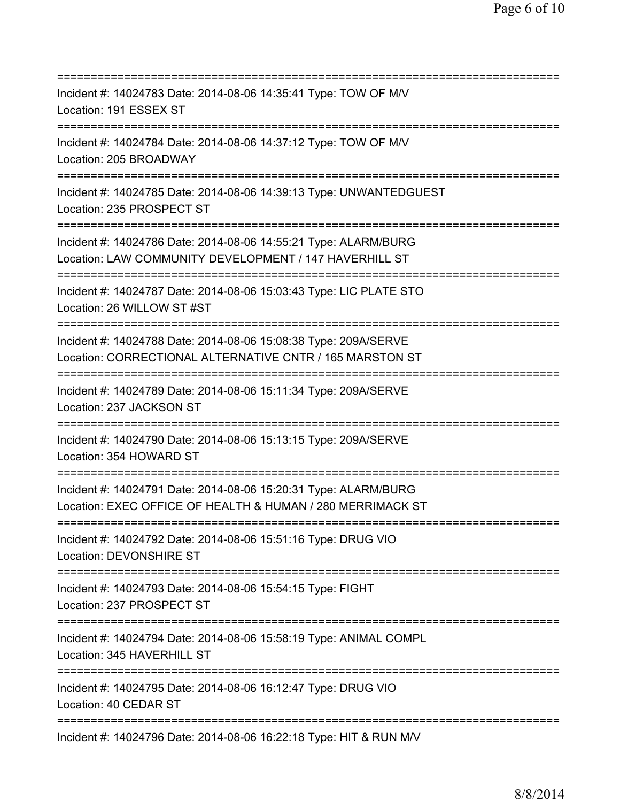| Incident #: 14024783 Date: 2014-08-06 14:35:41 Type: TOW OF M/V<br>Location: 191 ESSEX ST                                                            |
|------------------------------------------------------------------------------------------------------------------------------------------------------|
| Incident #: 14024784 Date: 2014-08-06 14:37:12 Type: TOW OF M/V<br>Location: 205 BROADWAY                                                            |
| Incident #: 14024785 Date: 2014-08-06 14:39:13 Type: UNWANTEDGUEST<br>Location: 235 PROSPECT ST                                                      |
| Incident #: 14024786 Date: 2014-08-06 14:55:21 Type: ALARM/BURG<br>Location: LAW COMMUNITY DEVELOPMENT / 147 HAVERHILL ST<br>:====================== |
| Incident #: 14024787 Date: 2014-08-06 15:03:43 Type: LIC PLATE STO<br>Location: 26 WILLOW ST #ST                                                     |
| Incident #: 14024788 Date: 2014-08-06 15:08:38 Type: 209A/SERVE<br>Location: CORRECTIONAL ALTERNATIVE CNTR / 165 MARSTON ST                          |
| Incident #: 14024789 Date: 2014-08-06 15:11:34 Type: 209A/SERVE<br>Location: 237 JACKSON ST                                                          |
| Incident #: 14024790 Date: 2014-08-06 15:13:15 Type: 209A/SERVE<br>Location: 354 HOWARD ST                                                           |
| Incident #: 14024791 Date: 2014-08-06 15:20:31 Type: ALARM/BURG<br>Location: EXEC OFFICE OF HEALTH & HUMAN / 280 MERRIMACK ST                        |
| Incident #: 14024792 Date: 2014-08-06 15:51:16 Type: DRUG VIO<br>Location: DEVONSHIRE ST                                                             |
| =========================<br>Incident #: 14024793 Date: 2014-08-06 15:54:15 Type: FIGHT<br>Location: 237 PROSPECT ST                                 |
| ======================================<br>Incident #: 14024794 Date: 2014-08-06 15:58:19 Type: ANIMAL COMPL<br>Location: 345 HAVERHILL ST            |
| Incident #: 14024795 Date: 2014-08-06 16:12:47 Type: DRUG VIO<br>Location: 40 CEDAR ST                                                               |
| Incident #: 14024796 Date: 2014-08-06 16:22:18 Type: HIT & RUN M/V                                                                                   |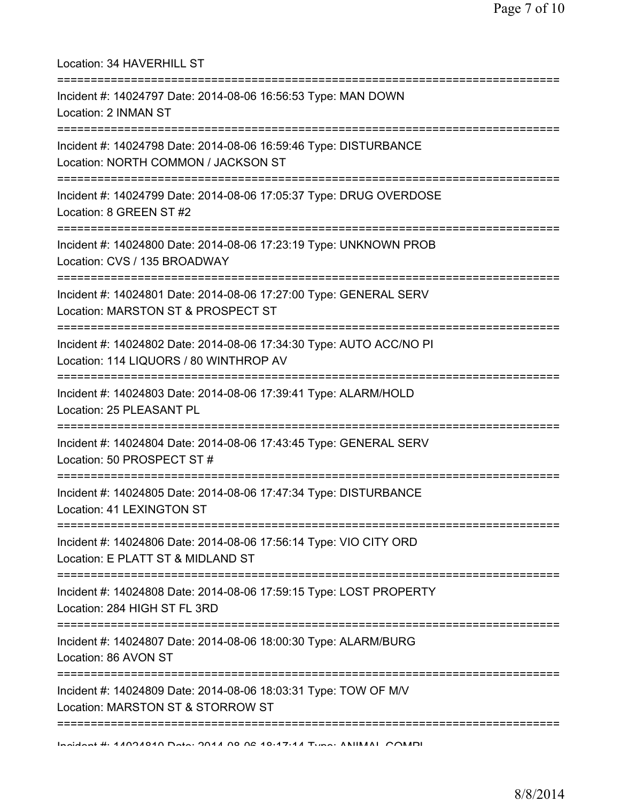| Location: 34 HAVERHILL ST<br>=====================                                                                            |
|-------------------------------------------------------------------------------------------------------------------------------|
| Incident #: 14024797 Date: 2014-08-06 16:56:53 Type: MAN DOWN<br>Location: 2 INMAN ST<br>==================================== |
| Incident #: 14024798 Date: 2014-08-06 16:59:46 Type: DISTURBANCE<br>Location: NORTH COMMON / JACKSON ST                       |
| Incident #: 14024799 Date: 2014-08-06 17:05:37 Type: DRUG OVERDOSE<br>Location: 8 GREEN ST #2                                 |
| Incident #: 14024800 Date: 2014-08-06 17:23:19 Type: UNKNOWN PROB<br>Location: CVS / 135 BROADWAY                             |
| Incident #: 14024801 Date: 2014-08-06 17:27:00 Type: GENERAL SERV<br>Location: MARSTON ST & PROSPECT ST                       |
| Incident #: 14024802 Date: 2014-08-06 17:34:30 Type: AUTO ACC/NO PI<br>Location: 114 LIQUORS / 80 WINTHROP AV                 |
| Incident #: 14024803 Date: 2014-08-06 17:39:41 Type: ALARM/HOLD<br>Location: 25 PLEASANT PL                                   |
| Incident #: 14024804 Date: 2014-08-06 17:43:45 Type: GENERAL SERV<br>Location: 50 PROSPECT ST #                               |
| Incident #: 14024805 Date: 2014-08-06 17:47:34 Type: DISTURBANCE<br>Location: 41 LEXINGTON ST                                 |
| Incident #: 14024806 Date: 2014-08-06 17:56:14 Type: VIO CITY ORD<br>Location: E PLATT ST & MIDLAND ST                        |
| Incident #: 14024808 Date: 2014-08-06 17:59:15 Type: LOST PROPERTY<br>Location: 284 HIGH ST FL 3RD                            |
| Incident #: 14024807 Date: 2014-08-06 18:00:30 Type: ALARM/BURG<br>Location: 86 AVON ST                                       |
| Incident #: 14024809 Date: 2014-08-06 18:03:31 Type: TOW OF M/V<br>Location: MARSTON ST & STORROW ST                          |
| Incident # 4 ANOAOAN Dete: 2044 00 02 40.47.44 Tune: ANIIMAL COMP                                                             |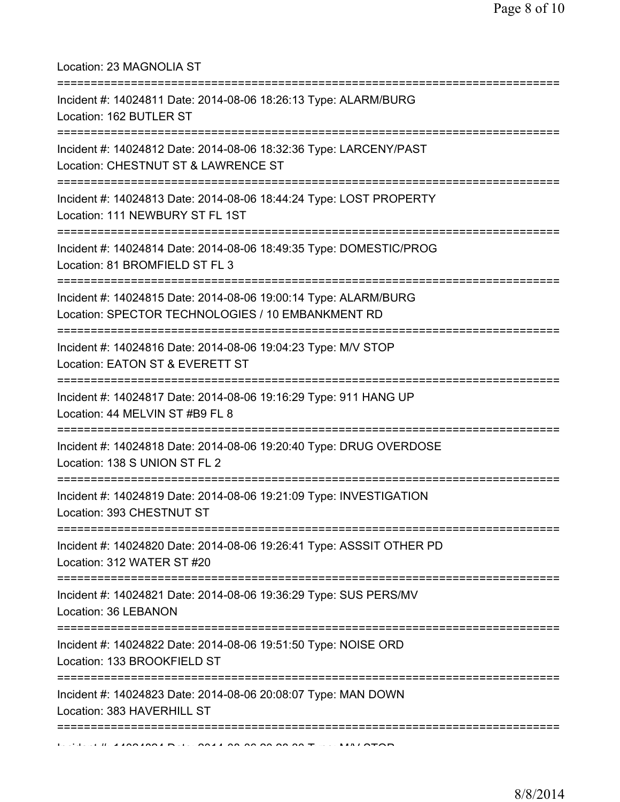Location: 23 MAGNOLIA ST

| Incident #: 14024811 Date: 2014-08-06 18:26:13 Type: ALARM/BURG<br>Location: 162 BUTLER ST                                                        |
|---------------------------------------------------------------------------------------------------------------------------------------------------|
| =====================================<br>Incident #: 14024812 Date: 2014-08-06 18:32:36 Type: LARCENY/PAST<br>Location: CHESTNUT ST & LAWRENCE ST |
| Incident #: 14024813 Date: 2014-08-06 18:44:24 Type: LOST PROPERTY<br>Location: 111 NEWBURY ST FL 1ST                                             |
| Incident #: 14024814 Date: 2014-08-06 18:49:35 Type: DOMESTIC/PROG<br>Location: 81 BROMFIELD ST FL 3                                              |
| Incident #: 14024815 Date: 2014-08-06 19:00:14 Type: ALARM/BURG<br>Location: SPECTOR TECHNOLOGIES / 10 EMBANKMENT RD                              |
| Incident #: 14024816 Date: 2014-08-06 19:04:23 Type: M/V STOP<br>Location: EATON ST & EVERETT ST                                                  |
| Incident #: 14024817 Date: 2014-08-06 19:16:29 Type: 911 HANG UP<br>Location: 44 MELVIN ST #B9 FL 8                                               |
| Incident #: 14024818 Date: 2014-08-06 19:20:40 Type: DRUG OVERDOSE<br>Location: 138 S UNION ST FL 2                                               |
| Incident #: 14024819 Date: 2014-08-06 19:21:09 Type: INVESTIGATION<br>Location: 393 CHESTNUT ST                                                   |
| Incident #: 14024820 Date: 2014-08-06 19:26:41 Type: ASSSIT OTHER PD<br>Location: 312 WATER ST #20                                                |
| Incident #: 14024821 Date: 2014-08-06 19:36:29 Type: SUS PERS/MV<br>Location: 36 LEBANON                                                          |
| Incident #: 14024822 Date: 2014-08-06 19:51:50 Type: NOISE ORD<br>Location: 133 BROOKFIELD ST                                                     |
| Incident #: 14024823 Date: 2014-08-06 20:08:07 Type: MAN DOWN<br>Location: 383 HAVERHILL ST                                                       |
|                                                                                                                                                   |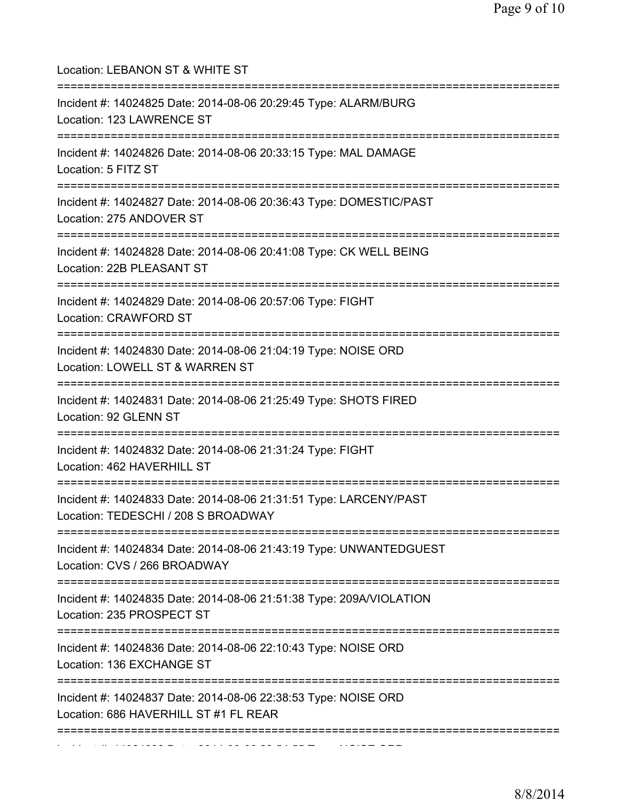| Location: LEBANON ST & WHITE ST<br>=====================================                                                             |
|--------------------------------------------------------------------------------------------------------------------------------------|
| Incident #: 14024825 Date: 2014-08-06 20:29:45 Type: ALARM/BURG<br>Location: 123 LAWRENCE ST<br>==================================== |
| Incident #: 14024826 Date: 2014-08-06 20:33:15 Type: MAL DAMAGE<br>Location: 5 FITZ ST                                               |
| Incident #: 14024827 Date: 2014-08-06 20:36:43 Type: DOMESTIC/PAST<br>Location: 275 ANDOVER ST                                       |
| Incident #: 14024828 Date: 2014-08-06 20:41:08 Type: CK WELL BEING<br>Location: 22B PLEASANT ST                                      |
| Incident #: 14024829 Date: 2014-08-06 20:57:06 Type: FIGHT<br>Location: CRAWFORD ST                                                  |
| Incident #: 14024830 Date: 2014-08-06 21:04:19 Type: NOISE ORD<br>Location: LOWELL ST & WARREN ST<br>==========                      |
| Incident #: 14024831 Date: 2014-08-06 21:25:49 Type: SHOTS FIRED<br>Location: 92 GLENN ST                                            |
| Incident #: 14024832 Date: 2014-08-06 21:31:24 Type: FIGHT<br>Location: 462 HAVERHILL ST                                             |
| Incident #: 14024833 Date: 2014-08-06 21:31:51 Type: LARCENY/PAST<br>Location: TEDESCHI / 208 S BROADWAY                             |
| Incident #: 14024834 Date: 2014-08-06 21:43:19 Type: UNWANTEDGUEST<br>Location: CVS / 266 BROADWAY                                   |
| =============<br>Incident #: 14024835 Date: 2014-08-06 21:51:38 Type: 209A/VIOLATION<br>Location: 235 PROSPECT ST                    |
| Incident #: 14024836 Date: 2014-08-06 22:10:43 Type: NOISE ORD<br>Location: 136 EXCHANGE ST                                          |
| Incident #: 14024837 Date: 2014-08-06 22:38:53 Type: NOISE ORD<br>Location: 686 HAVERHILL ST #1 FL REAR                              |
|                                                                                                                                      |